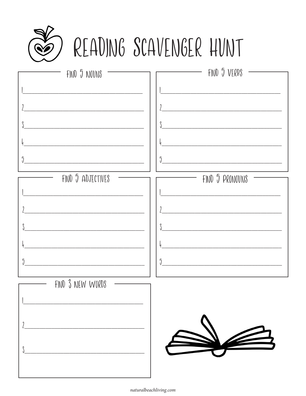

# READING SCAVENGER HUNT

| FIND 5 NOVNS              | FIND 5 VERBS          |
|---------------------------|-----------------------|
|                           |                       |
|                           |                       |
|                           |                       |
|                           |                       |
| $\sqrt{2}$                | $\sqrt{2}$            |
| FIND 5 ADJECTIVES         | FIND 5 PRONOVNS<br>—  |
|                           |                       |
|                           |                       |
|                           |                       |
|                           |                       |
| $\overline{\mathfrak{J}}$ | $\overline{\partial}$ |
| FIND 3 NEW WORDS          |                       |
|                           |                       |
|                           |                       |
|                           |                       |
|                           |                       |
|                           |                       |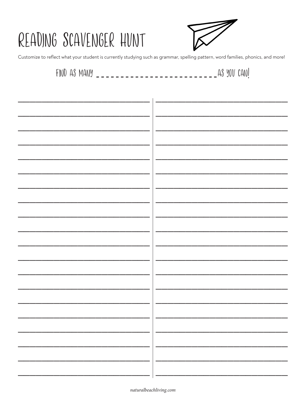# READING SCAVENGER HUNT



Customize to reflect what your student is currently studying such as grammar, spelling pattern, word families, phonics, and more!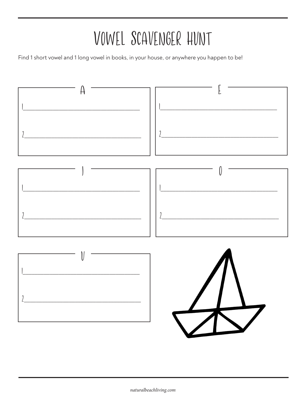# VOWEL SCAVENGER HUNT

Find 1 short vowel and 1 long vowel in books, in your house, or anywhere you happen to be!

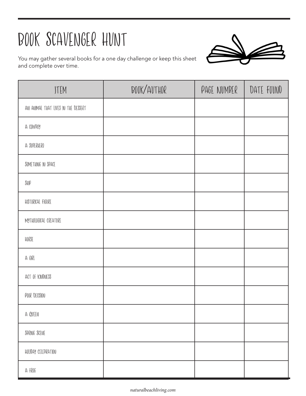# Book Scavenger Hunt

You may gather several books for a one day challenge or keep this sheet and complete over time.

| JTEM                                | BOOK/AUTHOR | PAGE NUMBER | DATE FOUND |
|-------------------------------------|-------------|-------------|------------|
| AN ANIMAL THAT LIVES IN THE DESSERT |             |             |            |
| A COWBOY                            |             |             |            |
| A SVPERHERO                         |             |             |            |
| SOMETHING IN SPACE                  |             |             |            |
| $\mathcal{S} \sharp \mathcal{W}$    |             |             |            |
| HISTORICAL FIGURE                   |             |             |            |
| MYTHOLOGICAL CREATURE               |             |             |            |
| HORSE                               |             |             |            |
| A GIRL                              |             |             |            |
| ACT OF KINDNESS                     |             |             |            |
| POOR DECISION                       |             |             |            |
| A QVEEN                             |             |             |            |
| SPRING SCENE                        |             |             |            |
| HOLIDAY CELEDRATION                 |             |             |            |
| A FROG                              |             |             |            |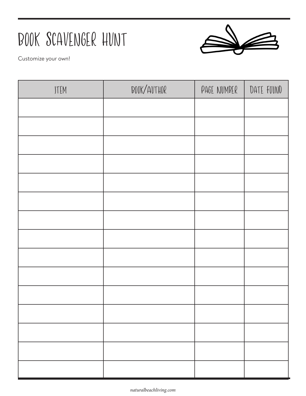## Book Scavenger Hunt

![](_page_4_Picture_1.jpeg)

Customize your own!

| JTEM | BOOK/AUTHOR | PAGE NUMBER | DATE FOUND |
|------|-------------|-------------|------------|
|      |             |             |            |
|      |             |             |            |
|      |             |             |            |
|      |             |             |            |
|      |             |             |            |
|      |             |             |            |
|      |             |             |            |
|      |             |             |            |
|      |             |             |            |
|      |             |             |            |
|      |             |             |            |
|      |             |             |            |
|      |             |             |            |
|      |             |             |            |
|      |             |             |            |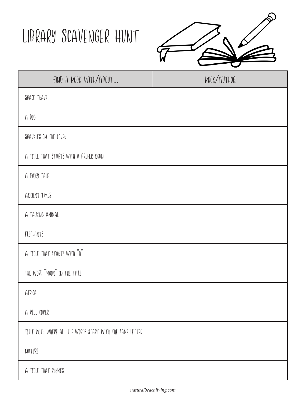#### Library Scavenger Hunt

![](_page_5_Picture_1.jpeg)

| FIND A BOOK WITH/ABOUT                                    | BOOK/AUTHOR |
|-----------------------------------------------------------|-------------|
| SPACE TRAVEL                                              |             |
| A 006                                                     |             |
| SPARKLES ON THE COVER                                     |             |
| A TITLE THAT STARTS WITH A PROPER NOUN                    |             |
| A FAIRY TALE                                              |             |
| ANCIENT TIMES                                             |             |
| A TALKING ANIMAL                                          |             |
| ELEPHANTS                                                 |             |
| A TITLE THAT STARTS WITH "H"                              |             |
| THE WORD "MOON" IN THE TITLE                              |             |
| AFRICA                                                    |             |
| A BLVE COVER                                              |             |
| TITLE WITH WHERE ALL THE WORDS START WITH THE SAME LETTER |             |
| NATVRE                                                    |             |
| A TITLE THAT RHYMES                                       |             |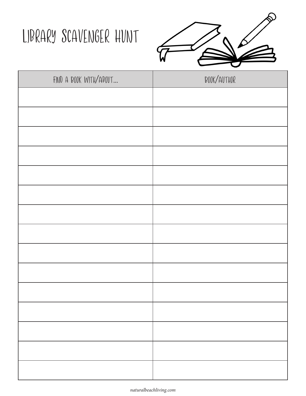## Library Scavenger Hunt

![](_page_6_Picture_1.jpeg)

| FIND A BOOK WITH/ABOUT | BOOK/AUTHOR |
|------------------------|-------------|
|                        |             |
|                        |             |
|                        |             |
|                        |             |
|                        |             |
|                        |             |
|                        |             |
|                        |             |
|                        |             |
|                        |             |
|                        |             |
|                        |             |
|                        |             |
|                        |             |
|                        |             |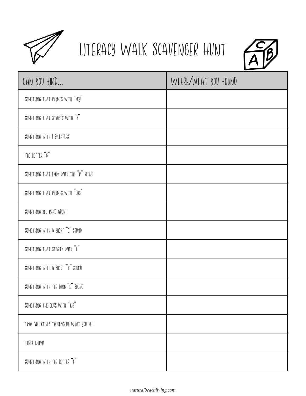![](_page_7_Picture_0.jpeg)

#### Literacy Walk Scavenger Hunt

![](_page_7_Picture_2.jpeg)

| CAN YOU FIND                            | WHERE/WHAT YOU FOUND |
|-----------------------------------------|----------------------|
| SOMETHING THAT RHYMES WITH "SKY"        |                      |
| SOMETHING THAT STARTS WITH "S"          |                      |
| SOMETHING WITH I SYLLADLES              |                      |
| THE LETTER "G"                          |                      |
| SOMETHING THAT ENDS WITH THE "R" SOUND  |                      |
| SOMETHING THAT RHYMES WITH "DOG"        |                      |
| SOMETHING YOU READ ABOUT                |                      |
| SOMETHING WITH A SHORT "O" SOUND        |                      |
| SOMETHING THAT STARTS WITH "C"          |                      |
| SOMETHING WITH A SHORT "U" SOUND        |                      |
| SOMETHING WITH THE LONG "E" SOUND       |                      |
| SOMETHING THE ENDS WITH "ING"           |                      |
| TWO ADJECTIVES TO DESCRIPE WHAT YOU SEE |                      |
| THREE NOVNS                             |                      |
| SOMETHING WITH THE LETTER "F"           |                      |